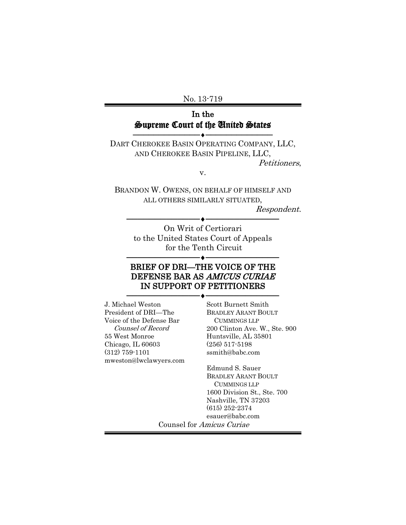No. 13-719

# In the Supreme Court of the United States

DART CHEROKEE BASIN OPERATING COMPANY, LLC, AND CHEROKEE BASIN PIPELINE, LLC,

──────────**◆───**────────────────

Petitioners,

v.

BRANDON W. OWENS, ON BEHALF OF HIMSELF AND ALL OTHERS SIMILARLY SITUATED,

Respondent.

─────────────♦───────────── On Writ of Certiorari to the United States Court of Appeals for the Tenth Circuit ───<del>◆</del>─────

## BRIEF OF DRI—THE VOICE OF THE DEFENSE BAR AS AMICUS CURIAE IN SUPPORT OF PETITIONERS

─────────────♦───────────── J. Michael Weston President of DRI—The Voice of the Defense Bar Counsel of Record 55 West Monroe Chicago, IL 60603 (312) 759-1101 mweston@lwclawyers.com

Scott Burnett Smith BRADLEY ARANT BOULT CUMMINGS LLP 200 Clinton Ave. W., Ste. 900 Huntsville, AL 35801 (256) 517-5198 ssmith@babc.com

Edmund S. Sauer BRADLEY ARANT BOULT CUMMINGS LLP 1600 Division St., Ste. 700 Nashville, TN 37203 (615) 252-2374 esauer@babc.com Counsel for Amicus Curiae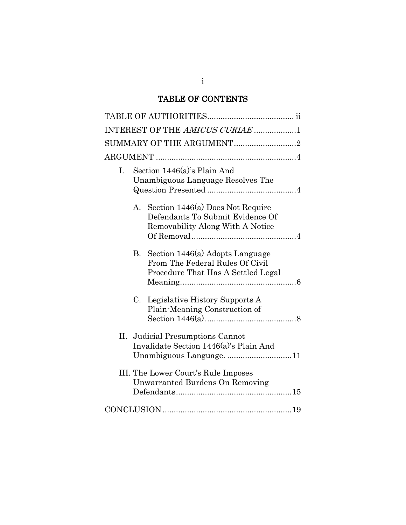# TABLE OF CONTENTS

| INTEREST OF THE AMICUS CURIAE 1 |                                                                                                            |  |  |
|---------------------------------|------------------------------------------------------------------------------------------------------------|--|--|
| SUMMARY OF THE ARGUMENT 2       |                                                                                                            |  |  |
|                                 |                                                                                                            |  |  |
| I.                              | Section $1446(a)$ 's Plain And<br>Unambiguous Language Resolves The                                        |  |  |
| $A_{-}$                         | Section 1446(a) Does Not Require<br>Defendants To Submit Evidence Of<br>Removability Along With A Notice   |  |  |
| В.                              | Section $1446(a)$ Adopts Language<br>From The Federal Rules Of Civil<br>Procedure That Has A Settled Legal |  |  |
| $C_{\cdot}$                     | Legislative History Supports A<br>Plain-Meaning Construction of                                            |  |  |
| П.                              | Judicial Presumptions Cannot<br>Invalidate Section 1446(a)'s Plain And<br>Unambiguous Language. 11         |  |  |
|                                 | III. The Lower Court's Rule Imposes<br>Unwarranted Burdens On Removing                                     |  |  |
|                                 |                                                                                                            |  |  |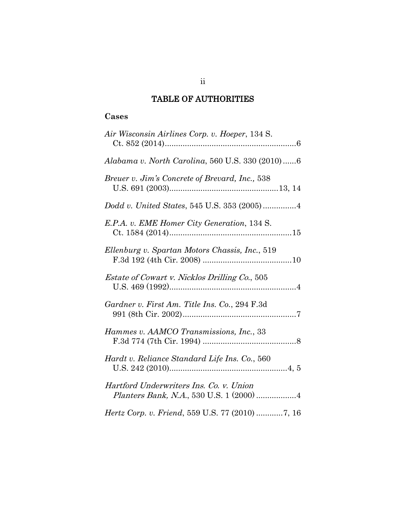# TABLE OF AUTHORITIES

## **Cases**

| Air Wisconsin Airlines Corp. v. Hoeper, 134 S.        |
|-------------------------------------------------------|
| Alabama v. North Carolina, 560 U.S. 330 (2010)6       |
| Breuer v. Jim's Concrete of Brevard, Inc., 538        |
|                                                       |
| E.P.A. v. EME Homer City Generation, 134 S.           |
| Ellenburg v. Spartan Motors Chassis, Inc., 519        |
| <i>Estate of Cowart v. Nicklos Drilling Co.</i> , 505 |
| Gardner v. First Am. Title Ins. Co., 294 F.3d         |
| Hammes v. AAMCO Transmissions, Inc., 33               |
| Hardt v. Reliance Standard Life Ins. Co., 560         |
| Hartford Underwriters Ins. Co. v. Union               |
| Hertz Corp. v. Friend, 559 U.S. 77 (2010) 7, 16       |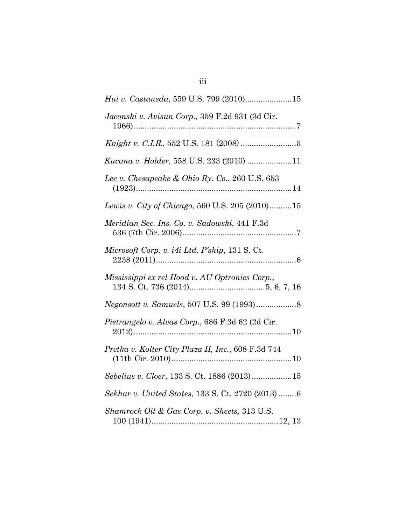| Hui v. Castaneda, 559 U.S. 799 (2010)15            |  |
|----------------------------------------------------|--|
| Jaconski v. Avisun Corp., 359 F.2d 931 (3d Cir.    |  |
|                                                    |  |
| Kucana v. Holder, 558 U.S. 233 (2010) 11           |  |
| Lee v. Chesapeake & Ohio Ry. Co., 260 U.S. 653     |  |
| Lewis v. City of Chicago, 560 U.S. 205 (2010)15    |  |
| Meridian Sec. Ins. Co. v. Sadowski, 441 F.3d       |  |
| Microsoft Corp. v. i4i Ltd. P'ship, 131 S. Ct.     |  |
| Mississippi ex rel Hood v. AU Optronics Corp.,     |  |
|                                                    |  |
| Pietrangelo v. Alvas Corp., 686 F.3d 62 (2d Cir.   |  |
| Pretka v. Kolter City Plaza II, Inc., 608 F.3d 744 |  |
| Sebelius v. Cloer, 133 S. Ct. 1886 (2013)15        |  |
| Sekhar v. United States, 133 S. Ct. 2720 (2013) 6  |  |
| Shamrock Oil & Gas Corp. v. Sheets, 313 U.S.       |  |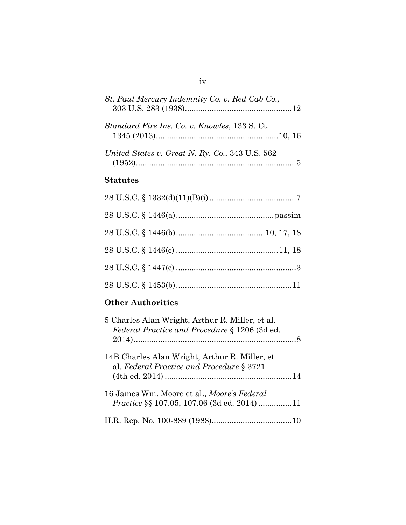| St. Paul Mercury Indemnity Co. v. Red Cab Co.,       |
|------------------------------------------------------|
| <i>Standard Fire Ins. Co. v. Knowles, 133 S. Ct.</i> |
| United States v. Great N. Ry. Co., 343 U.S. 562      |

# **Statutes**

# **Other Authorities**

| 5 Charles Alan Wright, Arthur R. Miller, et al.<br>Federal Practice and Procedure § 1206 (3d ed. |  |
|--------------------------------------------------------------------------------------------------|--|
| 14B Charles Alan Wright, Arthur R. Miller, et<br>al. Federal Practice and Procedure $\S 3721$    |  |
| 16 James Wm. Moore et al., Moore's Federal<br><i>Practice</i> §§ 107.05, 107.06 (3d ed. 2014)11  |  |
|                                                                                                  |  |

## iv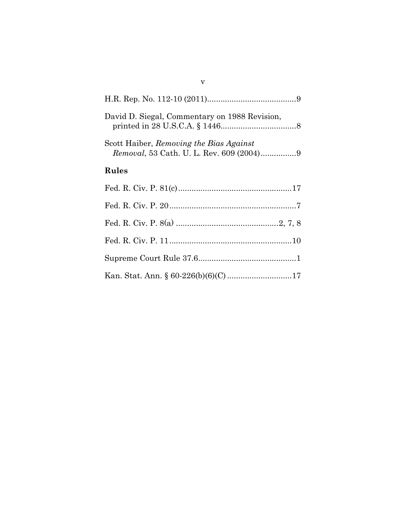| David D. Siegal, Commentary on 1988 Revision, |  |
|-----------------------------------------------|--|
| Scott Haiber, Removing the Bias Against       |  |
| Rules                                         |  |
|                                               |  |
|                                               |  |
|                                               |  |
|                                               |  |
|                                               |  |
|                                               |  |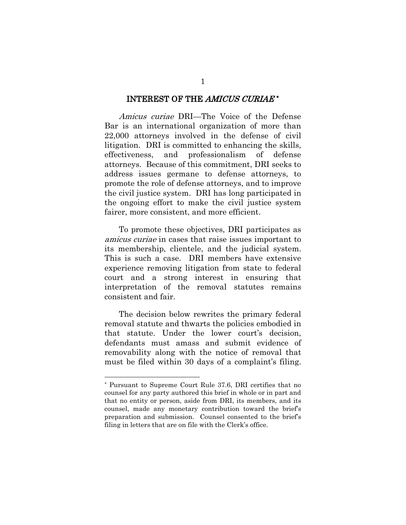#### INTEREST OF THE *AMICUS CURIAE* \*

Amicus curiae DRI—The Voice of the Defense Bar is an international organization of more than 22,000 attorneys involved in the defense of civil litigation. DRI is committed to enhancing the skills, effectiveness, and professionalism of defense attorneys. Because of this commitment, DRI seeks to address issues germane to defense attorneys, to promote the role of defense attorneys, and to improve the civil justice system. DRI has long participated in the ongoing effort to make the civil justice system fairer, more consistent, and more efficient.

To promote these objectives, DRI participates as amicus curiae in cases that raise issues important to its membership, clientele, and the judicial system. This is such a case. DRI members have extensive experience removing litigation from state to federal court and a strong interest in ensuring that interpretation of the removal statutes remains consistent and fair.

The decision below rewrites the primary federal removal statute and thwarts the policies embodied in that statute. Under the lower court's decision, defendants must amass and submit evidence of removability along with the notice of removal that must be filed within 30 days of a complaint's filing.

l

<span id="page-6-0"></span><sup>\*</sup> Pursuant to Supreme Court Rule 37.6, DRI certifies that no counsel for any party authored this brief in whole or in part and that no entity or person, aside from DRI, its members, and its counsel, made any monetary contribution toward the brief's preparation and submission. Counsel consented to the brief's filing in letters that are on file with the Clerk's office.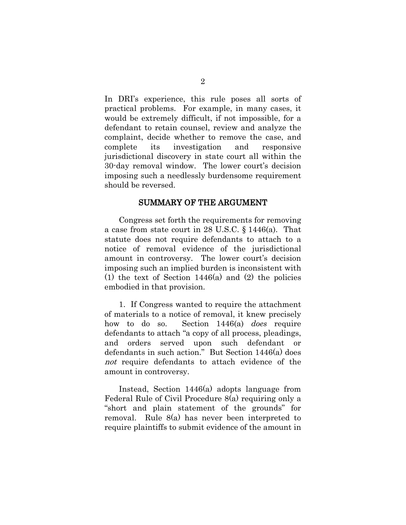In DRI's experience, this rule poses all sorts of practical problems. For example, in many cases, it would be extremely difficult, if not impossible, for a defendant to retain counsel, review and analyze the complaint, decide whether to remove the case, and complete its investigation and responsive jurisdictional discovery in state court all within the 30-day removal window. The lower court's decision imposing such a needlessly burdensome requirement should be reversed.

#### SUMMARY OF THE ARGUMENT

Congress set forth the requirements for removing a case from state court in 28 U.S.C. § 1446(a). That statute does not require defendants to attach to a notice of removal evidence of the jurisdictional amount in controversy. The lower court's decision imposing such an implied burden is inconsistent with (1) the text of Section  $1446(a)$  and (2) the policies embodied in that provision.

1. If Congress wanted to require the attachment of materials to a notice of removal, it knew precisely how to do so. Section 1446(a) *does* require defendants to attach "a copy of all process, pleadings, and orders served upon such defendant or defendants in such action." But Section 1446(a) does not require defendants to attach evidence of the amount in controversy.

Instead, Section 1446(a) adopts language from Federal Rule of Civil Procedure 8(a) requiring only a "short and plain statement of the grounds" for removal. Rule 8(a) has never been interpreted to require plaintiffs to submit evidence of the amount in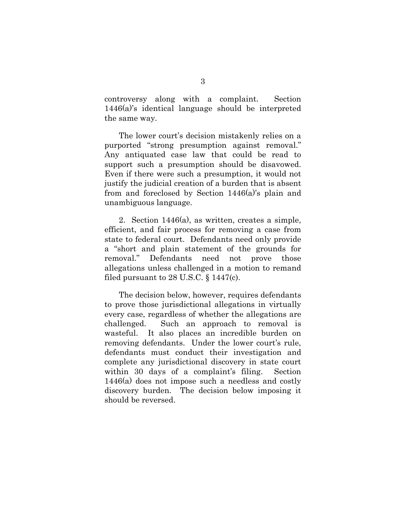controversy along with a complaint. Section 1446(a)'s identical language should be interpreted the same way.

The lower court's decision mistakenly relies on a purported "strong presumption against removal." Any antiquated case law that could be read to support such a presumption should be disavowed. Even if there were such a presumption, it would not justify the judicial creation of a burden that is absent from and foreclosed by Section 1446(a)'s plain and unambiguous language.

2. Section 1446(a), as written, creates a simple, efficient, and fair process for removing a case from state to federal court. Defendants need only provide a "short and plain statement of the grounds for removal." Defendants need not prove those allegations unless challenged in a motion to remand filed pursuant to  $28 \text{ U.S.C.}$  §  $1447 \text{(c)}$ .

The decision below, however, requires defendants to prove those jurisdictional allegations in virtually every case, regardless of whether the allegations are challenged. Such an approach to removal is wasteful. It also places an incredible burden on removing defendants. Under the lower court's rule, defendants must conduct their investigation and complete any jurisdictional discovery in state court within 30 days of a complaint's filing. Section 1446(a) does not impose such a needless and costly discovery burden. The decision below imposing it should be reversed.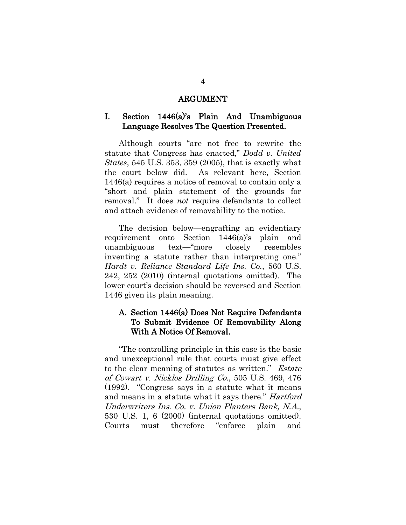#### ARGUMENT

### I. Section 1446(a)'s Plain And Unambiguous Language Resolves The Question Presented.

Although courts "are not free to rewrite the statute that Congress has enacted," *Dodd v. United States*, 545 U.S. 353, 359 (2005), that is exactly what the court below did. As relevant here, Section 1446(a) requires a notice of removal to contain only a "short and plain statement of the grounds for removal." It does *not* require defendants to collect and attach evidence of removability to the notice.

The decision below—engrafting an evidentiary requirement onto Section 1446(a)'s plain and unambiguous text—"more closely resembles inventing a statute rather than interpreting one." *Hardt v. Reliance Standard Life Ins. Co.*, 560 U.S. 242, 252 (2010) (internal quotations omitted). The lower court's decision should be reversed and Section 1446 given its plain meaning.

## A. Section 1446(a) Does Not Require Defendants To Submit Evidence Of Removability Along With A Notice Of Removal.

"The controlling principle in this case is the basic and unexceptional rule that courts must give effect to the clear meaning of statutes as written." *Estate* of Cowart v. Nicklos Drilling Co., 505 U.S. 469, 476 (1992). "Congress says in a statute what it means and means in a statute what it says there." Hartford Underwriters Ins. Co. v. Union Planters Bank, N.A., 530 U.S. 1, 6 (2000) (internal quotations omitted). Courts must therefore "enforce plain and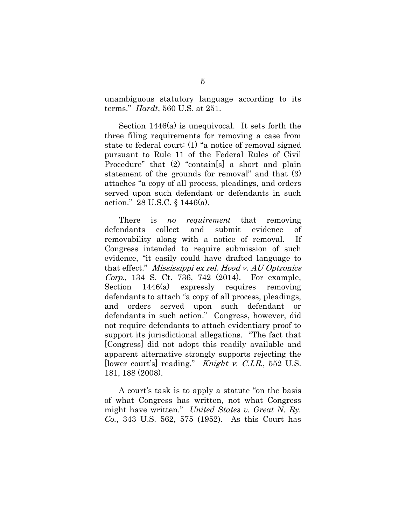unambiguous statutory language according to its terms." *Hardt*, 560 U.S. at 251.

Section 1446(a) is unequivocal. It sets forth the three filing requirements for removing a case from state to federal court: (1) "a notice of removal signed pursuant to Rule 11 of the Federal Rules of Civil Procedure" that (2) "contain[s] a short and plain statement of the grounds for removal" and that (3) attaches "a copy of all process, pleadings, and orders served upon such defendant or defendants in such action." 28 U.S.C. § 1446(a).

There is *no requirement* that removing defendants collect and submit evidence of removability along with a notice of removal. If Congress intended to require submission of such evidence, "it easily could have drafted language to that effect." Mississippi ex rel. Hood v. AU Optronics Corp., 134 S. Ct. 736, 742 (2014). For example, Section 1446(a) expressly requires removing defendants to attach "a copy of all process, pleadings, and orders served upon such defendant or defendants in such action." Congress, however, did not require defendants to attach evidentiary proof to support its jurisdictional allegations. "The fact that [Congress] did not adopt this readily available and apparent alternative strongly supports rejecting the [lower court's] reading." *Knight v. C.I.R.*, 552 U.S. 181, 188 (2008).

A court's task is to apply a statute "on the basis of what Congress has written, not what Congress might have written." *United States v. Great N. Ry. Co.*, 343 U.S. 562, 575 (1952). As this Court has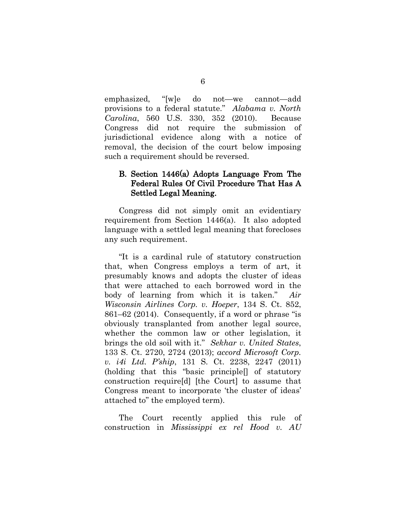emphasized, "[w]e do not—we cannot—add provisions to a federal statute." *Alabama v. North Carolina*, 560 U.S. 330, 352 (2010). Because Congress did not require the submission of jurisdictional evidence along with a notice of removal, the decision of the court below imposing such a requirement should be reversed.

## B. Section 1446(a) Adopts Language From The Federal Rules Of Civil Procedure That Has A Settled Legal Meaning.

Congress did not simply omit an evidentiary requirement from Section 1446(a). It also adopted language with a settled legal meaning that forecloses any such requirement.

"It is a cardinal rule of statutory construction that, when Congress employs a term of art, it presumably knows and adopts the cluster of ideas that were attached to each borrowed word in the body of learning from which it is taken." *Air Wisconsin Airlines Corp. v. Hoeper*, 134 S. Ct. 852, 861–62 (2014). Consequently, if a word or phrase "is obviously transplanted from another legal source, whether the common law or other legislation, it brings the old soil with it." *Sekhar v. United States*, 133 S. Ct. 2720, 2724 (2013); *accord Microsoft Corp. v. i4i Ltd. P'ship*, 131 S. Ct. 2238, 2247 (2011) (holding that this "basic principle[] of statutory construction require[d] [the Court] to assume that Congress meant to incorporate 'the cluster of ideas' attached to" the employed term).

The Court recently applied this rule of construction in *Mississippi ex rel Hood v. AU*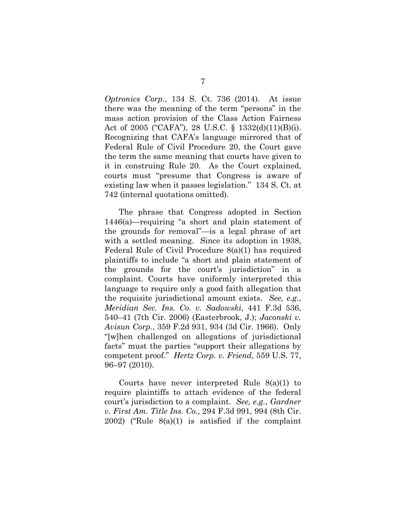*Optronics Corp.*, 134 S. Ct. 736 (2014). At issue there was the meaning of the term "persons" in the mass action provision of the Class Action Fairness Act of 2005 ("CAFA"), 28 U.S.C. § 1332(d)(11)(B)(i). Recognizing that CAFA's language mirrored that of Federal Rule of Civil Procedure 20, the Court gave the term the same meaning that courts have given to it in construing Rule 20. As the Court explained, courts must "presume that Congress is aware of existing law when it passes legislation." 134 S. Ct. at 742 (internal quotations omitted).

The phrase that Congress adopted in Section 1446(a)—requiring "a short and plain statement of the grounds for removal"—is a legal phrase of art with a settled meaning. Since its adoption in 1938, Federal Rule of Civil Procedure 8(a)(1) has required plaintiffs to include "a short and plain statement of the grounds for the court's jurisdiction" in a complaint. Courts have uniformly interpreted this language to require only a good faith allegation that the requisite jurisdictional amount exists. *See, e.g.*, *Meridian Sec. Ins. Co. v. Sadowski*, 441 F.3d 536, 540–41 (7th Cir. 2006) (Easterbrook, J.); *Jaconski v. Avisun Corp.*, 359 F.2d 931, 934 (3d Cir. 1966). Only "[w]hen challenged on allegations of jurisdictional facts" must the parties "support their allegations by competent proof." *Hertz Corp. v. Friend*, 559 U.S. 77, 96–97 (2010).

Courts have never interpreted Rule 8(a)(1) to require plaintiffs to attach evidence of the federal court's jurisdiction to a complaint. *See, e.g.*, *Gardner v. First Am. Title Ins. Co.*, 294 F.3d 991, 994 (8th Cir. 2002) ("Rule 8(a)(1) is satisfied if the complaint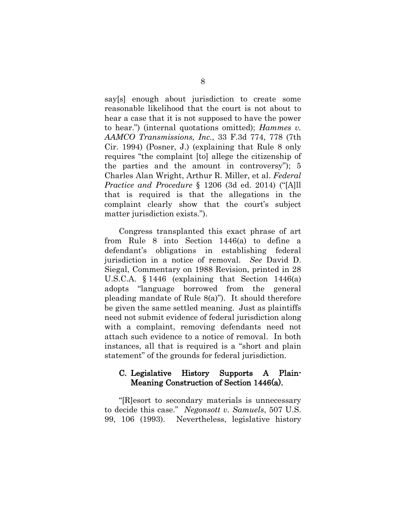say[s] enough about jurisdiction to create some reasonable likelihood that the court is not about to hear a case that it is not supposed to have the power to hear.") (internal quotations omitted); *Hammes v. AAMCO Transmissions, Inc.*, 33 F.3d 774, 778 (7th Cir. 1994) (Posner, J.) (explaining that Rule 8 only requires "the complaint [to] allege the citizenship of the parties and the amount in controversy"); 5 Charles Alan Wright, Arthur R. Miller, et al. *Federal Practice and Procedure* § 1206 (3d ed. 2014) ("[A]ll that is required is that the allegations in the complaint clearly show that the court's subject matter jurisdiction exists.").

Congress transplanted this exact phrase of art from Rule 8 into Section 1446(a) to define a defendant's obligations in establishing federal jurisdiction in a notice of removal. *See* David D. Siegal, Commentary on 1988 Revision, printed in 28 U.S.C.A. § 1446 (explaining that Section 1446(a) adopts "language borrowed from the general pleading mandate of Rule 8(a)"). It should therefore be given the same settled meaning. Just as plaintiffs need not submit evidence of federal jurisdiction along with a complaint, removing defendants need not attach such evidence to a notice of removal. In both instances, all that is required is a "short and plain statement" of the grounds for federal jurisdiction.

## C. Legislative History Supports A Plain-Meaning Construction of Section 1446(a).

"[R]esort to secondary materials is unnecessary to decide this case." *Negonsott v. Samuels*, 507 U.S. 99, 106 (1993). Nevertheless, legislative history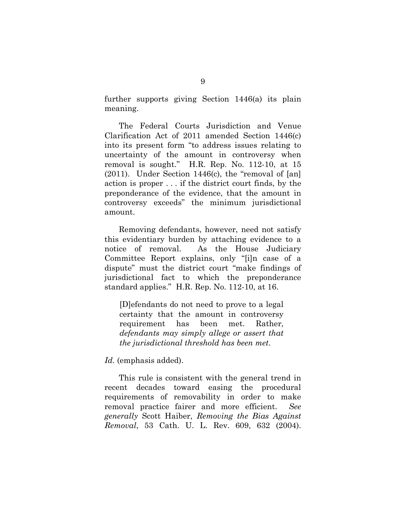further supports giving Section 1446(a) its plain meaning.

The Federal Courts Jurisdiction and Venue Clarification Act of 2011 amended Section 1446(c) into its present form "to address issues relating to uncertainty of the amount in controversy when removal is sought." H.R. Rep. No. 112-10, at 15 (2011). Under Section 1446(c), the "removal of [an] action is proper . . . if the district court finds, by the preponderance of the evidence, that the amount in controversy exceeds" the minimum jurisdictional amount.

Removing defendants, however, need not satisfy this evidentiary burden by attaching evidence to a notice of removal. As the House Judiciary Committee Report explains, only "[i]n case of a dispute" must the district court "make findings of jurisdictional fact to which the preponderance standard applies." H.R. Rep. No. 112-10, at 16.

[D]efendants do not need to prove to a legal certainty that the amount in controversy requirement has been met. Rather, *defendants may simply allege or assert that the jurisdictional threshold has been met*.

*Id.* (emphasis added).

This rule is consistent with the general trend in recent decades toward easing the procedural requirements of removability in order to make removal practice fairer and more efficient. *See generally* Scott Haiber, *Removing the Bias Against Removal*, 53 Cath. U. L. Rev. 609, 632 (2004).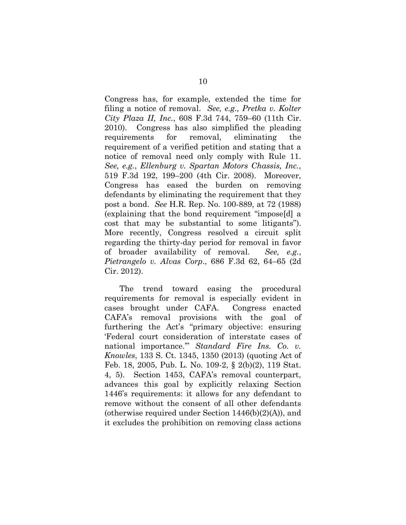Congress has, for example, extended the time for filing a notice of removal. *See, e.g., Pretka v. Kolter City Plaza II, Inc.*, 608 F.3d 744, 759–60 (11th Cir. 2010). Congress has also simplified the pleading requirements for removal, eliminating the requirement of a verified petition and stating that a notice of removal need only comply with Rule 11. *See, e.g.*, *Ellenburg v. Spartan Motors Chassis, Inc.*, 519 F.3d 192, 199–200 (4th Cir. 2008). Moreover, Congress has eased the burden on removing defendants by eliminating the requirement that they post a bond. *See* H.R. Rep. No. 100-889, at 72 (1988) (explaining that the bond requirement "impose[d] a cost that may be substantial to some litigants"). More recently, Congress resolved a circuit split regarding the thirty-day period for removal in favor of broader availability of removal. *See, e.g.*, *Pietrangelo v. Alvas Corp*., 686 F.3d 62, 64–65 (2d Cir. 2012).

The trend toward easing the procedural requirements for removal is especially evident in cases brought under CAFA. Congress enacted CAFA's removal provisions with the goal of furthering the Act's "primary objective: ensuring 'Federal court consideration of interstate cases of national importance.'" *Standard Fire Ins. Co. v. Knowles*, 133 S. Ct. 1345, 1350 (2013) (quoting Act of Feb. 18, 2005, Pub. L. No. 109-2, § 2(b)(2), 119 Stat. 4, 5). Section 1453, CAFA's removal counterpart, advances this goal by explicitly relaxing Section 1446's requirements: it allows for any defendant to remove without the consent of all other defendants (otherwise required under Section  $1446(b)(2)(A)$ ), and it excludes the prohibition on removing class actions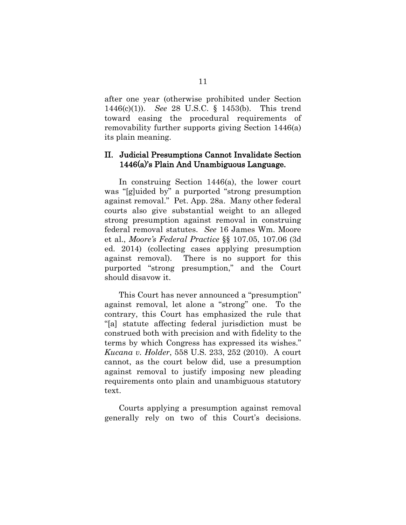after one year (otherwise prohibited under Section 1446(c)(1)). *See* 28 U.S.C. § 1453(b). This trend toward easing the procedural requirements of removability further supports giving Section 1446(a) its plain meaning.

### II. Judicial Presumptions Cannot Invalidate Section 1446(a)'s Plain And Unambiguous Language.

In construing Section 1446(a), the lower court was "[g]uided by" a purported "strong presumption against removal." Pet. App. 28a. Many other federal courts also give substantial weight to an alleged strong presumption against removal in construing federal removal statutes. *See* 16 James Wm. Moore et al., *Moore's Federal Practice* §§ 107.05, 107.06 (3d ed. 2014) (collecting cases applying presumption against removal). There is no support for this purported "strong presumption," and the Court should disavow it.

This Court has never announced a "presumption" against removal, let alone a "strong" one. To the contrary, this Court has emphasized the rule that "[a] statute affecting federal jurisdiction must be construed both with precision and with fidelity to the terms by which Congress has expressed its wishes." *Kucana v. Holder*, 558 U.S. 233, 252 (2010). A court cannot, as the court below did, use a presumption against removal to justify imposing new pleading requirements onto plain and unambiguous statutory text.

Courts applying a presumption against removal generally rely on two of this Court's decisions.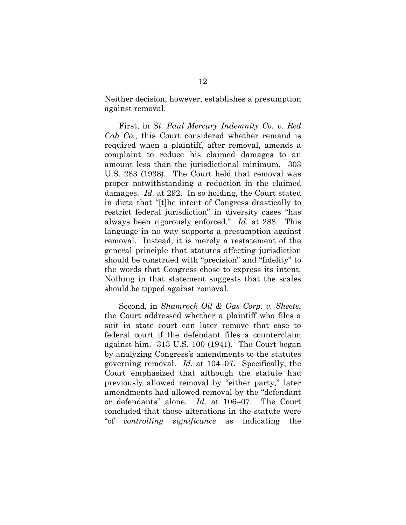Neither decision, however, establishes a presumption against removal.

First, in *St. Paul Mercury Indemnity Co. v. Red Cab Co.*, this Court considered whether remand is required when a plaintiff, after removal, amends a complaint to reduce his claimed damages to an amount less than the jurisdictional minimum. 303 U.S. 283 (1938). The Court held that removal was proper notwithstanding a reduction in the claimed damages. *Id.* at 292. In so holding, the Court stated in dicta that "[t]he intent of Congress drastically to restrict federal jurisdiction" in diversity cases "has always been rigorously enforced." *Id.* at 288. This language in no way supports a presumption against removal. Instead, it is merely a restatement of the general principle that statutes affecting jurisdiction should be construed with "precision" and "fidelity" to the words that Congress chose to express its intent. Nothing in that statement suggests that the scales should be tipped against removal.

Second, in *Shamrock Oil & Gas Corp. v. Sheets*, the Court addressed whether a plaintiff who files a suit in state court can later remove that case to federal court if the defendant files a counterclaim against him. 313 U.S. 100 (1941). The Court began by analyzing Congress's amendments to the statutes governing removal. *Id.* at 104–07. Specifically, the Court emphasized that although the statute had previously allowed removal by "either party," later amendments had allowed removal by the "defendant or defendants" alone. *Id.* at 106–07. The Court concluded that those alterations in the statute were "of *controlling significance* as indicating the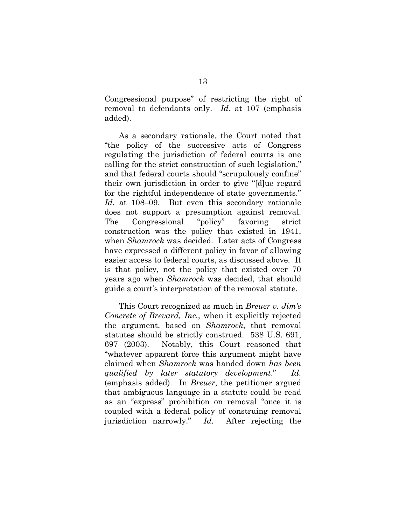Congressional purpose" of restricting the right of removal to defendants only. *Id.* at 107 (emphasis added).

As a secondary rationale, the Court noted that "the policy of the successive acts of Congress regulating the jurisdiction of federal courts is one calling for the strict construction of such legislation," and that federal courts should "scrupulously confine" their own jurisdiction in order to give "[d]ue regard for the rightful independence of state governments." *Id.* at 108–09. But even this secondary rationale does not support a presumption against removal. The Congressional "policy" favoring strict construction was the policy that existed in 1941, when *Shamrock* was decided. Later acts of Congress have expressed a different policy in favor of allowing easier access to federal courts, as discussed above. It is that policy, not the policy that existed over 70 years ago when *Shamrock* was decided, that should guide a court's interpretation of the removal statute.

This Court recognized as much in *Breuer v. Jim's Concrete of Brevard, Inc.*, when it explicitly rejected the argument, based on *Shamrock*, that removal statutes should be strictly construed. 538 U.S. 691, 697 (2003). Notably, this Court reasoned that "whatever apparent force this argument might have claimed when *Shamrock* was handed down *has been qualified by later statutory development*." *Id.* (emphasis added). In *Breuer*, the petitioner argued that ambiguous language in a statute could be read as an "express" prohibition on removal "once it is coupled with a federal policy of construing removal jurisdiction narrowly." *Id.* After rejecting the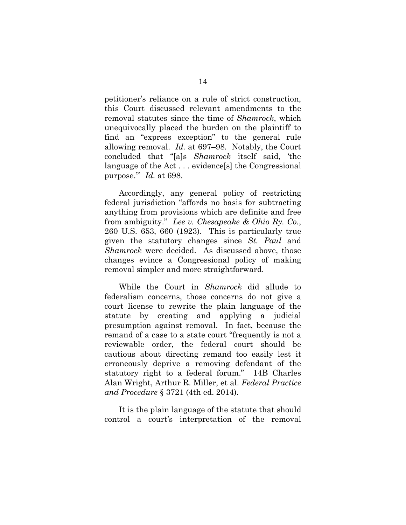petitioner's reliance on a rule of strict construction, this Court discussed relevant amendments to the removal statutes since the time of *Shamrock*, which unequivocally placed the burden on the plaintiff to find an "express exception" to the general rule allowing removal. *Id.* at 697–98. Notably, the Court concluded that "[a]s *Shamrock* itself said, 'the language of the Act . . . evidence[s] the Congressional purpose.'" *Id.* at 698.

Accordingly, any general policy of restricting federal jurisdiction "affords no basis for subtracting anything from provisions which are definite and free from ambiguity." *Lee v. Chesapeake & Ohio Ry. Co.*, 260 U.S. 653, 660 (1923). This is particularly true given the statutory changes since *St. Paul* and *Shamrock* were decided. As discussed above, those changes evince a Congressional policy of making removal simpler and more straightforward.

While the Court in *Shamrock* did allude to federalism concerns, those concerns do not give a court license to rewrite the plain language of the statute by creating and applying a judicial presumption against removal. In fact, because the remand of a case to a state court "frequently is not a reviewable order, the federal court should be cautious about directing remand too easily lest it erroneously deprive a removing defendant of the statutory right to a federal forum." 14B Charles Alan Wright, Arthur R. Miller, et al. *Federal Practice and Procedure* § 3721 (4th ed. 2014).

It is the plain language of the statute that should control a court's interpretation of the removal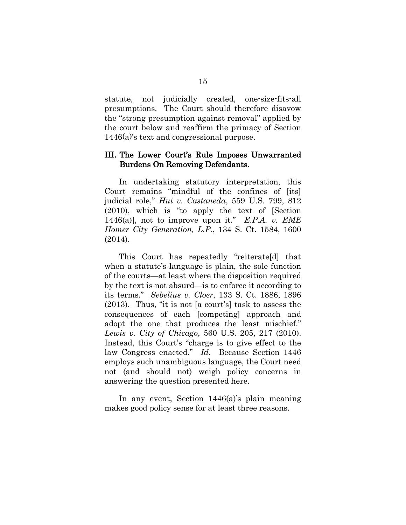statute, not judicially created, one-size-fits-all presumptions. The Court should therefore disavow the "strong presumption against removal" applied by the court below and reaffirm the primacy of Section 1446(a)'s text and congressional purpose.

#### III. The Lower Court's Rule Imposes Unwarranted Burdens On Removing Defendants.

In undertaking statutory interpretation, this Court remains "mindful of the confines of [its] judicial role," *Hui v. Castaneda*, 559 U.S. 799, 812 (2010), which is "to apply the text of [Section 1446(a)], not to improve upon it." *E.P.A. v. EME Homer City Generation, L.P.*, 134 S. Ct. 1584, 1600 (2014).

This Court has repeatedly "reiterate[d] that when a statute's language is plain, the sole function of the courts—at least where the disposition required by the text is not absurd—is to enforce it according to its terms." *Sebelius v. Cloer*, 133 S. Ct. 1886, 1896 (2013). Thus, "it is not [a court's] task to assess the consequences of each [competing] approach and adopt the one that produces the least mischief." *Lewis v. City of Chicago*, 560 U.S. 205, 217 (2010). Instead, this Court's "charge is to give effect to the law Congress enacted." *Id.* Because Section 1446 employs such unambiguous language, the Court need not (and should not) weigh policy concerns in answering the question presented here.

In any event, Section 1446(a)'s plain meaning makes good policy sense for at least three reasons.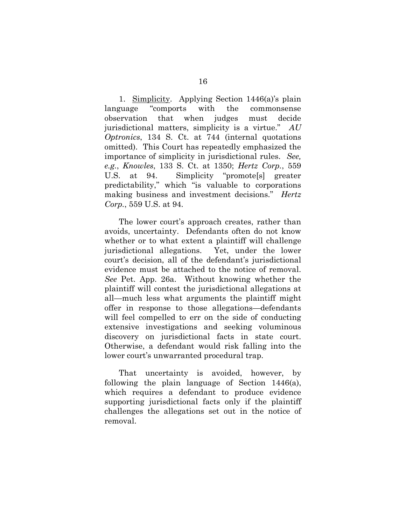1. Simplicity. Applying Section 1446(a)'s plain language "comports with the commonsense observation that when judges must decide jurisdictional matters, simplicity is a virtue." *AU Optronics*, 134 S. Ct. at 744 (internal quotations omitted). This Court has repeatedly emphasized the importance of simplicity in jurisdictional rules. *See, e.g.*, *Knowles*, 133 S. Ct. at 1350; *Hertz Corp.*, 559 U.S. at 94. Simplicity "promote[s] greater predictability," which "is valuable to corporations making business and investment decisions." *Hertz Corp.*, 559 U.S. at 94.

The lower court's approach creates, rather than avoids, uncertainty. Defendants often do not know whether or to what extent a plaintiff will challenge jurisdictional allegations. Yet, under the lower court's decision, all of the defendant's jurisdictional evidence must be attached to the notice of removal. *See* Pet. App. 26a. Without knowing whether the plaintiff will contest the jurisdictional allegations at all—much less what arguments the plaintiff might offer in response to those allegations—defendants will feel compelled to err on the side of conducting extensive investigations and seeking voluminous discovery on jurisdictional facts in state court. Otherwise, a defendant would risk falling into the lower court's unwarranted procedural trap.

That uncertainty is avoided, however, by following the plain language of Section 1446(a), which requires a defendant to produce evidence supporting jurisdictional facts only if the plaintiff challenges the allegations set out in the notice of removal.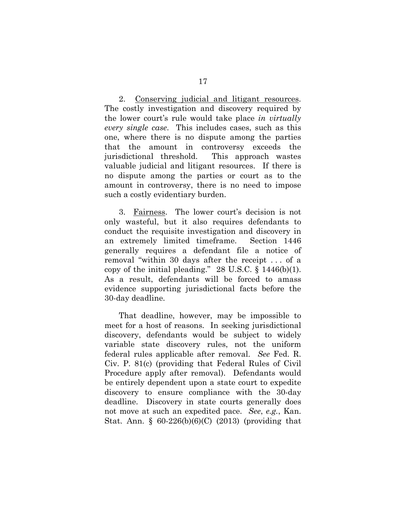2. Conserving judicial and litigant resources. The costly investigation and discovery required by the lower court's rule would take place *in virtually every single case*. This includes cases, such as this one, where there is no dispute among the parties that the amount in controversy exceeds the jurisdictional threshold. This approach wastes valuable judicial and litigant resources. If there is no dispute among the parties or court as to the amount in controversy, there is no need to impose such a costly evidentiary burden.

3. Fairness. The lower court's decision is not only wasteful, but it also requires defendants to conduct the requisite investigation and discovery in an extremely limited timeframe. Section 1446 generally requires a defendant file a notice of removal "within 30 days after the receipt . . . of a copy of the initial pleading."  $28 \text{ U.S.C.}$  § 1446(b)(1). As a result, defendants will be forced to amass evidence supporting jurisdictional facts before the 30-day deadline.

That deadline, however, may be impossible to meet for a host of reasons. In seeking jurisdictional discovery, defendants would be subject to widely variable state discovery rules, not the uniform federal rules applicable after removal. *See* Fed. R. Civ. P. 81(c) (providing that Federal Rules of Civil Procedure apply after removal). Defendants would be entirely dependent upon a state court to expedite discovery to ensure compliance with the 30-day deadline. Discovery in state courts generally does not move at such an expedited pace. *See*, *e.g.*, Kan. Stat. Ann. §  $60-226(b)(6)(C)$  (2013) (providing that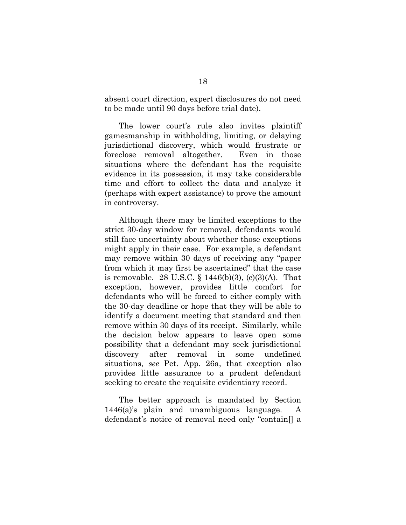absent court direction, expert disclosures do not need to be made until 90 days before trial date).

The lower court's rule also invites plaintiff gamesmanship in withholding, limiting, or delaying jurisdictional discovery, which would frustrate or foreclose removal altogether. Even in those situations where the defendant has the requisite evidence in its possession, it may take considerable time and effort to collect the data and analyze it (perhaps with expert assistance) to prove the amount in controversy.

Although there may be limited exceptions to the strict 30-day window for removal, defendants would still face uncertainty about whether those exceptions might apply in their case. For example, a defendant may remove within 30 days of receiving any "paper from which it may first be ascertained" that the case is removable. 28 U.S.C. § 1446(b)(3), (c)(3)(A). That exception, however, provides little comfort for defendants who will be forced to either comply with the 30-day deadline or hope that they will be able to identify a document meeting that standard and then remove within 30 days of its receipt. Similarly, while the decision below appears to leave open some possibility that a defendant may seek jurisdictional discovery after removal in some undefined situations, *see* Pet. App. 26a, that exception also provides little assurance to a prudent defendant seeking to create the requisite evidentiary record.

The better approach is mandated by Section 1446(a)'s plain and unambiguous language. A defendant's notice of removal need only "contain[] a